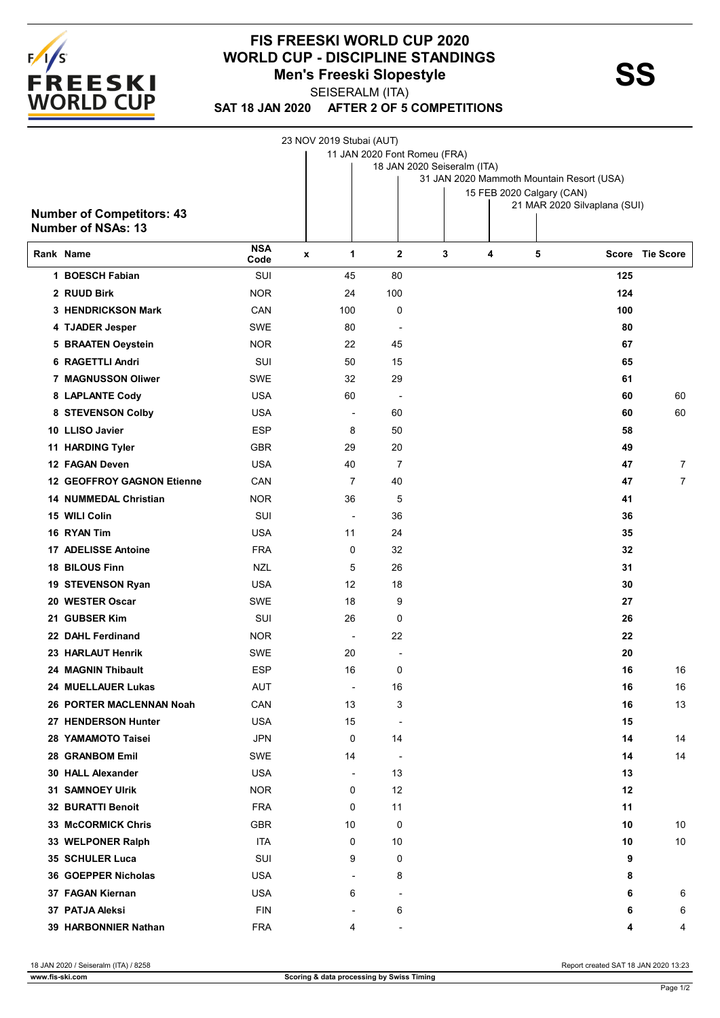

## **FIS FREESKI WORLD CUP 2020 WORLD CUP - DISCIPLINE STANDINGS<br>Men's Freeski Slopestyle**<br>**SS Men's Freeski Slopestyle**

SEISERALM (ITA)

**SAT 18 JAN 2020 AFTER 2 OF 5 COMPETITIONS**

|                                   |                          | 23 NOV 2019 Stubai (AUT) |                          |                              |                                                                        |   |                              |                 |  |  |  |
|-----------------------------------|--------------------------|--------------------------|--------------------------|------------------------------|------------------------------------------------------------------------|---|------------------------------|-----------------|--|--|--|
|                                   |                          |                          |                          | 11 JAN 2020 Font Romeu (FRA) |                                                                        |   |                              |                 |  |  |  |
|                                   |                          |                          |                          | 18 JAN 2020 Seiseralm (ITA)  |                                                                        |   |                              |                 |  |  |  |
|                                   |                          |                          |                          |                              | 31 JAN 2020 Mammoth Mountain Resort (USA)<br>15 FEB 2020 Calgary (CAN) |   |                              |                 |  |  |  |
|                                   |                          |                          |                          |                              |                                                                        |   | 21 MAR 2020 Silvaplana (SUI) |                 |  |  |  |
| <b>Number of Competitors: 43</b>  |                          |                          |                          |                              |                                                                        |   |                              |                 |  |  |  |
| <b>Number of NSAs: 13</b>         |                          |                          |                          |                              |                                                                        |   |                              |                 |  |  |  |
| Rank Name                         | <b>NSA</b><br>Code       | 1<br>$\pmb{\chi}$        | $\mathbf{2}$             | 3                            | 4                                                                      | 5 |                              | Score Tie Score |  |  |  |
| 1 BOESCH Fabian                   | SUI                      | 45                       | 80                       |                              |                                                                        |   | 125                          |                 |  |  |  |
| 2 RUUD Birk                       | <b>NOR</b>               | 24                       | 100                      |                              |                                                                        |   | 124                          |                 |  |  |  |
| 3 HENDRICKSON Mark                | CAN                      | 100                      | 0                        |                              |                                                                        |   | 100                          |                 |  |  |  |
| 4 TJADER Jesper                   | <b>SWE</b>               | 80                       |                          |                              |                                                                        |   | 80                           |                 |  |  |  |
| <b>5 BRAATEN Oeystein</b>         | <b>NOR</b>               | 22                       | 45                       |                              |                                                                        |   | 67                           |                 |  |  |  |
| 6 RAGETTLI Andri                  | SUI                      | 50                       | 15                       |                              |                                                                        |   | 65                           |                 |  |  |  |
| 7 MAGNUSSON Oliwer                | <b>SWE</b>               | 32                       | 29                       |                              |                                                                        |   | 61                           |                 |  |  |  |
| 8 LAPLANTE Cody                   | <b>USA</b>               | 60                       |                          |                              |                                                                        |   | 60                           | 60              |  |  |  |
| 8 STEVENSON Colby                 | <b>USA</b>               | $\overline{\phantom{a}}$ | 60                       |                              |                                                                        |   | 60                           | 60              |  |  |  |
| 10 LLISO Javier                   | <b>ESP</b>               | 8                        | 50                       |                              |                                                                        |   | 58                           |                 |  |  |  |
| 11 HARDING Tyler                  | <b>GBR</b>               | 29                       | 20                       |                              |                                                                        |   | 49                           |                 |  |  |  |
| 12 FAGAN Deven                    | <b>USA</b>               | 40                       | $\overline{7}$           |                              |                                                                        |   | 47                           | 7               |  |  |  |
| <b>12 GEOFFROY GAGNON Etienne</b> | CAN                      | 7                        | 40                       |                              |                                                                        |   | 47                           | $\overline{7}$  |  |  |  |
| <b>14 NUMMEDAL Christian</b>      | <b>NOR</b>               | 36                       | 5                        |                              |                                                                        |   | 41                           |                 |  |  |  |
| 15 WILI Colin                     | SUI                      | $\overline{a}$           | 36                       |                              |                                                                        |   | 36                           |                 |  |  |  |
| 16 RYAN Tim                       | <b>USA</b>               | 11                       | 24                       |                              |                                                                        |   | 35                           |                 |  |  |  |
| 17 ADELISSE Antoine               | <b>FRA</b>               | 0                        | 32                       |                              |                                                                        |   | 32                           |                 |  |  |  |
|                                   |                          |                          |                          |                              |                                                                        |   |                              |                 |  |  |  |
| 18 BILOUS Finn                    | <b>NZL</b><br><b>USA</b> | 5<br>12                  | 26                       |                              |                                                                        |   | 31                           |                 |  |  |  |
| 19 STEVENSON Ryan                 |                          |                          | 18                       |                              |                                                                        |   | 30                           |                 |  |  |  |
| 20 WESTER Oscar                   | <b>SWE</b>               | 18                       | 9                        |                              |                                                                        |   | 27                           |                 |  |  |  |
| 21 GUBSER Kim                     | SUI                      | 26                       | 0                        |                              |                                                                        |   | 26                           |                 |  |  |  |
| 22 DAHL Ferdinand                 | <b>NOR</b>               | $\overline{\phantom{a}}$ | 22                       |                              |                                                                        |   | 22                           |                 |  |  |  |
| 23 HARLAUT Henrik                 | SWE                      | 20                       |                          |                              |                                                                        |   | 20                           |                 |  |  |  |
| <b>24 MAGNIN Thibault</b>         | <b>ESP</b>               | 16                       | 0                        |                              |                                                                        |   | 16                           | 16              |  |  |  |
| <b>24 MUELLAUER Lukas</b>         | AUT                      | $\overline{\phantom{a}}$ | 16                       |                              |                                                                        |   | 16                           | 16              |  |  |  |
| 26 PORTER MACLENNAN Noah          | CAN                      | 13                       | 3                        |                              |                                                                        |   | 16                           | 13              |  |  |  |
| 27 HENDERSON Hunter               | <b>USA</b>               | 15                       | $\overline{\phantom{a}}$ |                              |                                                                        |   | 15                           |                 |  |  |  |
| 28 YAMAMOTO Taisei                | <b>JPN</b>               | 0                        | 14                       |                              |                                                                        |   | 14                           | 14              |  |  |  |
| 28 GRANBOM Emil                   | SWE                      | 14                       | $\overline{\phantom{a}}$ |                              |                                                                        |   | 14                           | 14              |  |  |  |
| <b>30 HALL Alexander</b>          | <b>USA</b>               | $\overline{\phantom{a}}$ | 13                       |                              |                                                                        |   | 13                           |                 |  |  |  |
| <b>31 SAMNOEY Ulrik</b>           | <b>NOR</b>               | 0                        | 12                       |                              |                                                                        |   | 12                           |                 |  |  |  |
| 32 BURATTI Benoit                 | <b>FRA</b>               | 0                        | 11                       |                              |                                                                        |   | 11                           |                 |  |  |  |
| 33 McCORMICK Chris                | <b>GBR</b>               | 10                       | 0                        |                              |                                                                        |   | 10                           | 10              |  |  |  |
| 33 WELPONER Ralph                 | <b>ITA</b>               | 0                        | 10                       |                              |                                                                        |   | 10                           | 10              |  |  |  |
| <b>35 SCHULER Luca</b>            | SUI                      | 9                        | 0                        |                              |                                                                        |   | 9                            |                 |  |  |  |
| 36 GOEPPER Nicholas               | <b>USA</b>               | $\blacksquare$           | 8                        |                              |                                                                        |   | 8                            |                 |  |  |  |
| 37 FAGAN Kiernan                  | <b>USA</b>               | 6                        |                          |                              |                                                                        |   | 6                            | 6               |  |  |  |
| 37 PATJA Aleksi                   | <b>FIN</b>               | $\overline{a}$           | 6                        |                              |                                                                        |   | 6                            | 6               |  |  |  |
| 39 HARBONNIER Nathan              | <b>FRA</b>               | 4                        |                          |                              |                                                                        |   | 4                            | 4               |  |  |  |

18 JAN 2020 / Seiseralm (ITA) / 8258 Report created SAT 18 JAN 2020 13:23